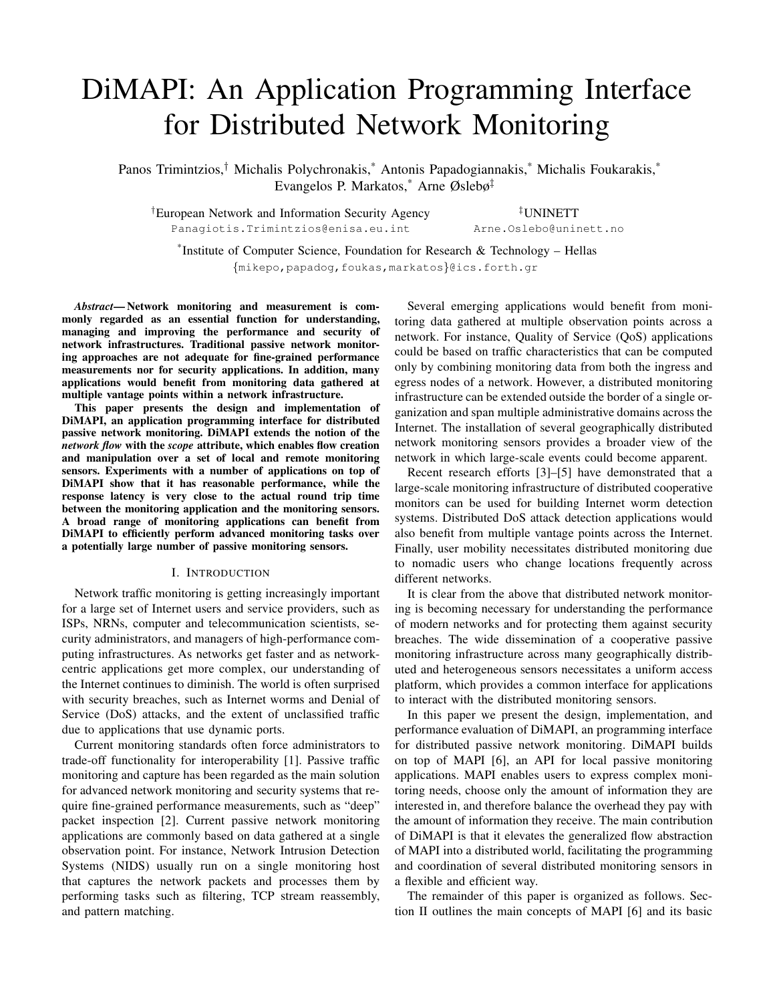# DiMAPI: An Application Programming Interface for Distributed Network Monitoring

Panos Trimintzios,*†* Michalis Polychronakis,\* Antonis Papadogiannakis,\* Michalis Foukarakis,\* Evangelos P. Markatos,\* Arne Øslebø*‡*

*†*European Network and Information Security Agency *‡*UNINETT Panagiotis.Trimintzios@enisa.eu.int Arne.Oslebo@uninett.no

\*Institute of Computer Science, Foundation for Research & Technology – Hellas *{*mikepo,papadog,foukas,markatos*}*@ics.forth.gr

*Abstract*— Network monitoring and measurement is commonly regarded as an essential function for understanding, managing and improving the performance and security of network infrastructures. Traditional passive network monitoring approaches are not adequate for fine-grained performance measurements nor for security applications. In addition, many applications would benefit from monitoring data gathered at multiple vantage points within a network infrastructure.

This paper presents the design and implementation of DiMAPI, an application programming interface for distributed passive network monitoring. DiMAPI extends the notion of the *network flow* with the *scope* attribute, which enables flow creation and manipulation over a set of local and remote monitoring sensors. Experiments with a number of applications on top of DiMAPI show that it has reasonable performance, while the response latency is very close to the actual round trip time between the monitoring application and the monitoring sensors. A broad range of monitoring applications can benefit from DiMAPI to efficiently perform advanced monitoring tasks over a potentially large number of passive monitoring sensors.

#### I. INTRODUCTION

Network traffic monitoring is getting increasingly important for a large set of Internet users and service providers, such as ISPs, NRNs, computer and telecommunication scientists, security administrators, and managers of high-performance computing infrastructures. As networks get faster and as networkcentric applications get more complex, our understanding of the Internet continues to diminish. The world is often surprised with security breaches, such as Internet worms and Denial of Service (DoS) attacks, and the extent of unclassified traffic due to applications that use dynamic ports.

Current monitoring standards often force administrators to trade-off functionality for interoperability [1]. Passive traffic monitoring and capture has been regarded as the main solution for advanced network monitoring and security systems that require fine-grained performance measurements, such as "deep" packet inspection [2]. Current passive network monitoring applications are commonly based on data gathered at a single observation point. For instance, Network Intrusion Detection Systems (NIDS) usually run on a single monitoring host that captures the network packets and processes them by performing tasks such as filtering, TCP stream reassembly, and pattern matching.

Several emerging applications would benefit from monitoring data gathered at multiple observation points across a network. For instance, Quality of Service (QoS) applications could be based on traffic characteristics that can be computed only by combining monitoring data from both the ingress and egress nodes of a network. However, a distributed monitoring infrastructure can be extended outside the border of a single organization and span multiple administrative domains across the Internet. The installation of several geographically distributed network monitoring sensors provides a broader view of the network in which large-scale events could become apparent.

Recent research efforts [3]–[5] have demonstrated that a large-scale monitoring infrastructure of distributed cooperative monitors can be used for building Internet worm detection systems. Distributed DoS attack detection applications would also benefit from multiple vantage points across the Internet. Finally, user mobility necessitates distributed monitoring due to nomadic users who change locations frequently across different networks.

It is clear from the above that distributed network monitoring is becoming necessary for understanding the performance of modern networks and for protecting them against security breaches. The wide dissemination of a cooperative passive monitoring infrastructure across many geographically distributed and heterogeneous sensors necessitates a uniform access platform, which provides a common interface for applications to interact with the distributed monitoring sensors.

In this paper we present the design, implementation, and performance evaluation of DiMAPI, an programming interface for distributed passive network monitoring. DiMAPI builds on top of MAPI [6], an API for local passive monitoring applications. MAPI enables users to express complex monitoring needs, choose only the amount of information they are interested in, and therefore balance the overhead they pay with the amount of information they receive. The main contribution of DiMAPI is that it elevates the generalized flow abstraction of MAPI into a distributed world, facilitating the programming and coordination of several distributed monitoring sensors in a flexible and efficient way.

The remainder of this paper is organized as follows. Section II outlines the main concepts of MAPI [6] and its basic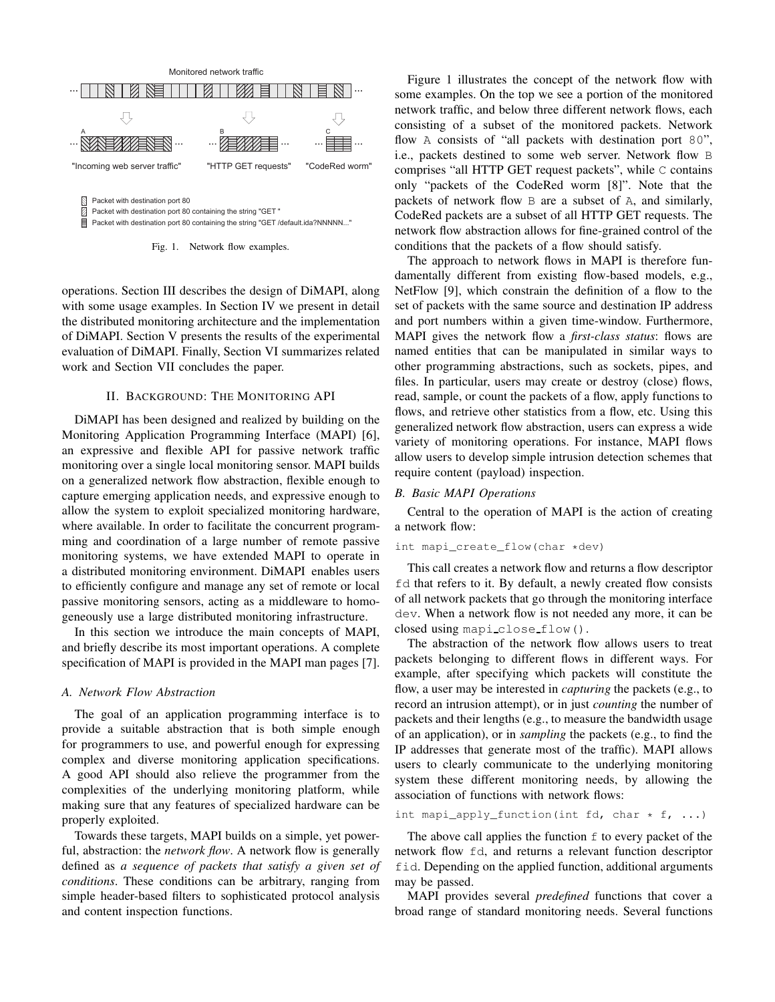

Fig. 1. Network flow examples.

operations. Section III describes the design of DiMAPI, along with some usage examples. In Section IV we present in detail the distributed monitoring architecture and the implementation of DiMAPI. Section V presents the results of the experimental evaluation of DiMAPI. Finally, Section VI summarizes related work and Section VII concludes the paper.

## II. BACKGROUND: THE MONITORING API

DiMAPI has been designed and realized by building on the Monitoring Application Programming Interface (MAPI) [6], an expressive and flexible API for passive network traffic monitoring over a single local monitoring sensor. MAPI builds on a generalized network flow abstraction, flexible enough to capture emerging application needs, and expressive enough to allow the system to exploit specialized monitoring hardware, where available. In order to facilitate the concurrent programming and coordination of a large number of remote passive monitoring systems, we have extended MAPI to operate in a distributed monitoring environment. DiMAPI enables users to efficiently configure and manage any set of remote or local passive monitoring sensors, acting as a middleware to homogeneously use a large distributed monitoring infrastructure.

In this section we introduce the main concepts of MAPI, and briefly describe its most important operations. A complete specification of MAPI is provided in the MAPI man pages [7].

## *A. Network Flow Abstraction*

The goal of an application programming interface is to provide a suitable abstraction that is both simple enough for programmers to use, and powerful enough for expressing complex and diverse monitoring application specifications. A good API should also relieve the programmer from the complexities of the underlying monitoring platform, while making sure that any features of specialized hardware can be properly exploited.

Towards these targets, MAPI builds on a simple, yet powerful, abstraction: the *network flow*. A network flow is generally defined as *a sequence of packets that satisfy a given set of conditions*. These conditions can be arbitrary, ranging from simple header-based filters to sophisticated protocol analysis and content inspection functions.

Figure 1 illustrates the concept of the network flow with some examples. On the top we see a portion of the monitored network traffic, and below three different network flows, each consisting of a subset of the monitored packets. Network flow A consists of "all packets with destination port 80", i.e., packets destined to some web server. Network flow B comprises "all HTTP GET request packets", while C contains only "packets of the CodeRed worm [8]". Note that the packets of network flow B are a subset of A, and similarly, CodeRed packets are a subset of all HTTP GET requests. The network flow abstraction allows for fine-grained control of the conditions that the packets of a flow should satisfy.

The approach to network flows in MAPI is therefore fundamentally different from existing flow-based models, e.g., NetFlow [9], which constrain the definition of a flow to the set of packets with the same source and destination IP address and port numbers within a given time-window. Furthermore, MAPI gives the network flow a *first-class status*: flows are named entities that can be manipulated in similar ways to other programming abstractions, such as sockets, pipes, and files. In particular, users may create or destroy (close) flows, read, sample, or count the packets of a flow, apply functions to flows, and retrieve other statistics from a flow, etc. Using this generalized network flow abstraction, users can express a wide variety of monitoring operations. For instance, MAPI flows allow users to develop simple intrusion detection schemes that require content (payload) inspection.

## *B. Basic MAPI Operations*

Central to the operation of MAPI is the action of creating a network flow:

#### int mapi\_create\_flow(char \*dev)

This call creates a network flow and returns a flow descriptor fd that refers to it. By default, a newly created flow consists of all network packets that go through the monitoring interface dev. When a network flow is not needed any more, it can be closed using mapi close flow().

The abstraction of the network flow allows users to treat packets belonging to different flows in different ways. For example, after specifying which packets will constitute the flow, a user may be interested in *capturing* the packets (e.g., to record an intrusion attempt), or in just *counting* the number of packets and their lengths (e.g., to measure the bandwidth usage of an application), or in *sampling* the packets (e.g., to find the IP addresses that generate most of the traffic). MAPI allows users to clearly communicate to the underlying monitoring system these different monitoring needs, by allowing the association of functions with network flows:

int mapi\_apply\_function(int fd, char  $*$  f, ...)

The above call applies the function f to every packet of the network flow fd, and returns a relevant function descriptor fid. Depending on the applied function, additional arguments may be passed.

MAPI provides several *predefined* functions that cover a broad range of standard monitoring needs. Several functions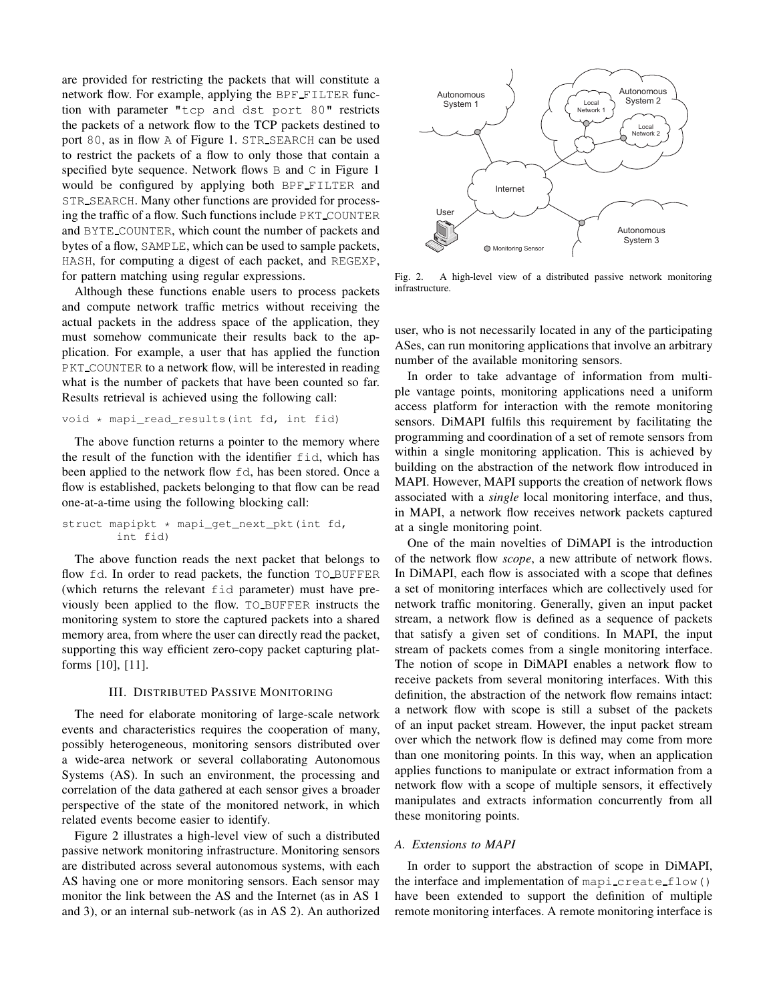are provided for restricting the packets that will constitute a network flow. For example, applying the BPF FILTER function with parameter "tcp and dst port 80" restricts the packets of a network flow to the TCP packets destined to port 80, as in flow A of Figure 1. STR SEARCH can be used to restrict the packets of a flow to only those that contain a specified byte sequence. Network flows  $\overline{B}$  and  $\overline{C}$  in Figure 1 would be configured by applying both BPF FILTER and STR SEARCH. Many other functions are provided for processing the traffic of a flow. Such functions include PKT COUNTER and BYTE COUNTER, which count the number of packets and bytes of a flow, SAMPLE, which can be used to sample packets, HASH, for computing a digest of each packet, and REGEXP, for pattern matching using regular expressions.

Although these functions enable users to process packets and compute network traffic metrics without receiving the actual packets in the address space of the application, they must somehow communicate their results back to the application. For example, a user that has applied the function PKT\_COUNTER to a network flow, will be interested in reading what is the number of packets that have been counted so far. Results retrieval is achieved using the following call:

```
void * mapi_read_results(int fd, int fid)
```
The above function returns a pointer to the memory where the result of the function with the identifier fid, which has been applied to the network flow fd, has been stored. Once a flow is established, packets belonging to that flow can be read one-at-a-time using the following blocking call:

```
struct mapipkt * mapi_qet_next_pkt(int fd,
        int fid)
```
The above function reads the next packet that belongs to flow fd. In order to read packets, the function TO\_BUFFER (which returns the relevant fid parameter) must have previously been applied to the flow. TO BUFFER instructs the monitoring system to store the captured packets into a shared memory area, from where the user can directly read the packet, supporting this way efficient zero-copy packet capturing platforms [10], [11].

## III. DISTRIBUTED PASSIVE MONITORING

The need for elaborate monitoring of large-scale network events and characteristics requires the cooperation of many, possibly heterogeneous, monitoring sensors distributed over a wide-area network or several collaborating Autonomous Systems (AS). In such an environment, the processing and correlation of the data gathered at each sensor gives a broader perspective of the state of the monitored network, in which related events become easier to identify.

Figure 2 illustrates a high-level view of such a distributed passive network monitoring infrastructure. Monitoring sensors are distributed across several autonomous systems, with each AS having one or more monitoring sensors. Each sensor may monitor the link between the AS and the Internet (as in AS 1 and 3), or an internal sub-network (as in AS 2). An authorized



Fig. 2. A high-level view of a distributed passive network monitoring infrastructure.

user, who is not necessarily located in any of the participating ASes, can run monitoring applications that involve an arbitrary number of the available monitoring sensors.

In order to take advantage of information from multiple vantage points, monitoring applications need a uniform access platform for interaction with the remote monitoring sensors. DiMAPI fulfils this requirement by facilitating the programming and coordination of a set of remote sensors from within a single monitoring application. This is achieved by building on the abstraction of the network flow introduced in MAPI. However, MAPI supports the creation of network flows associated with a *single* local monitoring interface, and thus, in MAPI, a network flow receives network packets captured at a single monitoring point.

One of the main novelties of DiMAPI is the introduction of the network flow *scope*, a new attribute of network flows. In DiMAPI, each flow is associated with a scope that defines a set of monitoring interfaces which are collectively used for network traffic monitoring. Generally, given an input packet stream, a network flow is defined as a sequence of packets that satisfy a given set of conditions. In MAPI, the input stream of packets comes from a single monitoring interface. The notion of scope in DiMAPI enables a network flow to receive packets from several monitoring interfaces. With this definition, the abstraction of the network flow remains intact: a network flow with scope is still a subset of the packets of an input packet stream. However, the input packet stream over which the network flow is defined may come from more than one monitoring points. In this way, when an application applies functions to manipulate or extract information from a network flow with a scope of multiple sensors, it effectively manipulates and extracts information concurrently from all these monitoring points.

# *A. Extensions to MAPI*

In order to support the abstraction of scope in DiMAPI, the interface and implementation of mapi create flow() have been extended to support the definition of multiple remote monitoring interfaces. A remote monitoring interface is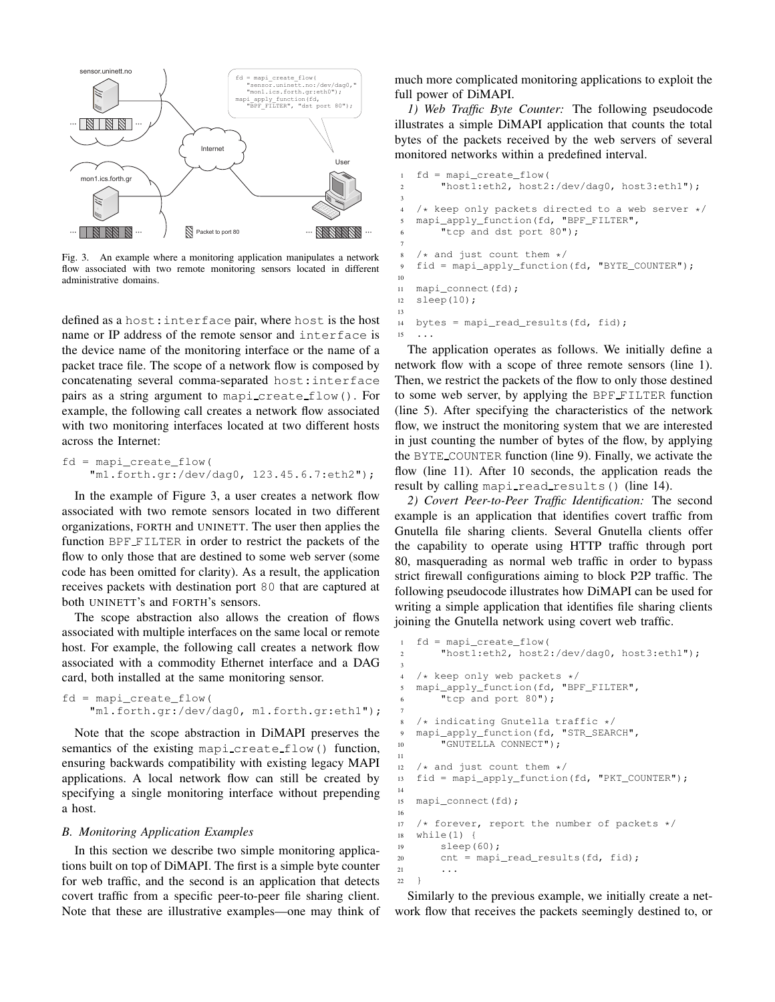

Fig. 3. An example where a monitoring application manipulates a network flow associated with two remote monitoring sensors located in different administrative domains.

defined as a host:interface pair, where host is the host name or IP address of the remote sensor and interface is the device name of the monitoring interface or the name of a packet trace file. The scope of a network flow is composed by concatenating several comma-separated host:interface pairs as a string argument to mapi create flow(). For example, the following call creates a network flow associated with two monitoring interfaces located at two different hosts across the Internet:

```
fd = mapi_create_flow(
    "m1.forth.gr:/dev/dag0, 123.45.6.7:eth2");
```
In the example of Figure 3, a user creates a network flow associated with two remote sensors located in two different organizations, FORTH and UNINETT. The user then applies the function BPF FILTER in order to restrict the packets of the flow to only those that are destined to some web server (some code has been omitted for clarity). As a result, the application receives packets with destination port 80 that are captured at both UNINETT's and FORTH's sensors.

The scope abstraction also allows the creation of flows associated with multiple interfaces on the same local or remote host. For example, the following call creates a network flow associated with a commodity Ethernet interface and a DAG card, both installed at the same monitoring sensor.

```
fd = mapi_create_flow(
    "m1.forth.gr:/dev/dag0, m1.forth.gr:eth1");
```
Note that the scope abstraction in DiMAPI preserves the semantics of the existing mapi\_create\_flow() function, ensuring backwards compatibility with existing legacy MAPI applications. A local network flow can still be created by specifying a single monitoring interface without prepending a host.

#### *B. Monitoring Application Examples*

In this section we describe two simple monitoring applications built on top of DiMAPI. The first is a simple byte counter for web traffic, and the second is an application that detects covert traffic from a specific peer-to-peer file sharing client. Note that these are illustrative examples—one may think of much more complicated monitoring applications to exploit the full power of DiMAPI.

*1) Web Traffic Byte Counter:* The following pseudocode illustrates a simple DiMAPI application that counts the total bytes of the packets received by the web servers of several monitored networks within a predefined interval.

```
1 fd = mapi_create_flow(
2 "host1:eth2, host2:/dev/dag0, host3:eth1");
3
4 / * keep only packets directed to a web server */<br>s mapi apply function (fd. "BPF FILTER".
    mapi_apply_function(fd, "BPF_FILTER",
6 "tcp and dst port 80");
 7
\frac{8}{9} /* and just count them */<br>9 fid = mapi apply function
    fid = mapi\_apply\_function(fd, "BYTE\_COUNTER");10
11 mapi_connect(fd);
12 sleep(10);
13
14 bytes = mapi_read_results(fd, fid);
15 \cdot \cdot \cdot
```
The application operates as follows. We initially define a network flow with a scope of three remote sensors (line 1). Then, we restrict the packets of the flow to only those destined to some web server, by applying the BPF FILTER function (line 5). After specifying the characteristics of the network flow, we instruct the monitoring system that we are interested in just counting the number of bytes of the flow, by applying the BYTE COUNTER function (line 9). Finally, we activate the flow (line 11). After 10 seconds, the application reads the result by calling mapi\_read\_results() (line 14).

*2) Covert Peer-to-Peer Traffic Identification:* The second example is an application that identifies covert traffic from Gnutella file sharing clients. Several Gnutella clients offer the capability to operate using HTTP traffic through port 80, masquerading as normal web traffic in order to bypass strict firewall configurations aiming to block P2P traffic. The following pseudocode illustrates how DiMAPI can be used for writing a simple application that identifies file sharing clients joining the Gnutella network using covert web traffic.

```
1 fd = mapi_create_flow(
2 "host1:eth2, host2:/dev/dag0, host3:eth1");
3
4 /* keep only web packets */<br>5 mapi apply function (fd, "BP
   5 mapi_apply_function(fd, "BPF_FILTER",
        "tcp and port 80");
 7
8 / * indicating Gnutella traffic */9 mapi_apply_function(fd, "STR_SEARCH",
10 "GNUTELLA CONNECT");
11
12 /* and just count them */<br>
13 fid = mapi_apply_function
   fid = mapi\_apply\_function(fd, "PKT_COUNTER");14
15 mapi_connect(fd);
16
17 /* forever, report the number of packets */<br>18 while(1) {
   while(1) {
19 sleep(60);
20 cnt = mapi_read_results(fd, fid);
21 ...
22 }
```
Similarly to the previous example, we initially create a network flow that receives the packets seemingly destined to, or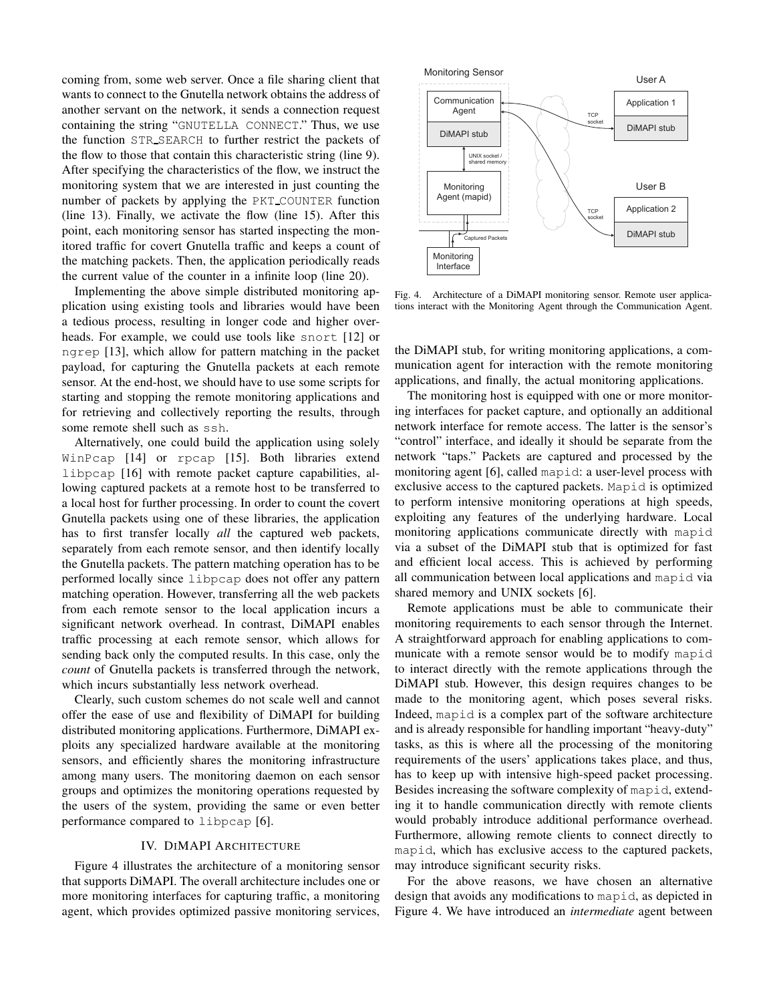coming from, some web server. Once a file sharing client that wants to connect to the Gnutella network obtains the address of another servant on the network, it sends a connection request containing the string "GNUTELLA CONNECT." Thus, we use the function STR SEARCH to further restrict the packets of the flow to those that contain this characteristic string (line 9). After specifying the characteristics of the flow, we instruct the monitoring system that we are interested in just counting the number of packets by applying the PKT COUNTER function (line 13). Finally, we activate the flow (line 15). After this point, each monitoring sensor has started inspecting the monitored traffic for covert Gnutella traffic and keeps a count of the matching packets. Then, the application periodically reads the current value of the counter in a infinite loop (line 20).

Implementing the above simple distributed monitoring application using existing tools and libraries would have been a tedious process, resulting in longer code and higher overheads. For example, we could use tools like snort [12] or ngrep [13], which allow for pattern matching in the packet payload, for capturing the Gnutella packets at each remote sensor. At the end-host, we should have to use some scripts for starting and stopping the remote monitoring applications and for retrieving and collectively reporting the results, through some remote shell such as ssh.

Alternatively, one could build the application using solely WinPcap [14] or rpcap [15]. Both libraries extend libpcap [16] with remote packet capture capabilities, allowing captured packets at a remote host to be transferred to a local host for further processing. In order to count the covert Gnutella packets using one of these libraries, the application has to first transfer locally *all* the captured web packets, separately from each remote sensor, and then identify locally the Gnutella packets. The pattern matching operation has to be performed locally since libpcap does not offer any pattern matching operation. However, transferring all the web packets from each remote sensor to the local application incurs a significant network overhead. In contrast, DiMAPI enables traffic processing at each remote sensor, which allows for sending back only the computed results. In this case, only the *count* of Gnutella packets is transferred through the network, which incurs substantially less network overhead.

Clearly, such custom schemes do not scale well and cannot offer the ease of use and flexibility of DiMAPI for building distributed monitoring applications. Furthermore, DiMAPI exploits any specialized hardware available at the monitoring sensors, and efficiently shares the monitoring infrastructure among many users. The monitoring daemon on each sensor groups and optimizes the monitoring operations requested by the users of the system, providing the same or even better performance compared to libpcap [6].

## IV. DIMAPI ARCHITECTURE

Figure 4 illustrates the architecture of a monitoring sensor that supports DiMAPI. The overall architecture includes one or more monitoring interfaces for capturing traffic, a monitoring agent, which provides optimized passive monitoring services,



Fig. 4. Architecture of a DiMAPI monitoring sensor. Remote user applications interact with the Monitoring Agent through the Communication Agent.

the DiMAPI stub, for writing monitoring applications, a communication agent for interaction with the remote monitoring applications, and finally, the actual monitoring applications.

The monitoring host is equipped with one or more monitoring interfaces for packet capture, and optionally an additional network interface for remote access. The latter is the sensor's "control" interface, and ideally it should be separate from the network "taps." Packets are captured and processed by the monitoring agent [6], called mapid: a user-level process with exclusive access to the captured packets. Mapid is optimized to perform intensive monitoring operations at high speeds, exploiting any features of the underlying hardware. Local monitoring applications communicate directly with mapid via a subset of the DiMAPI stub that is optimized for fast and efficient local access. This is achieved by performing all communication between local applications and mapid via shared memory and UNIX sockets [6].

Remote applications must be able to communicate their monitoring requirements to each sensor through the Internet. A straightforward approach for enabling applications to communicate with a remote sensor would be to modify mapid to interact directly with the remote applications through the DiMAPI stub. However, this design requires changes to be made to the monitoring agent, which poses several risks. Indeed, mapid is a complex part of the software architecture and is already responsible for handling important "heavy-duty" tasks, as this is where all the processing of the monitoring requirements of the users' applications takes place, and thus, has to keep up with intensive high-speed packet processing. Besides increasing the software complexity of mapid, extending it to handle communication directly with remote clients would probably introduce additional performance overhead. Furthermore, allowing remote clients to connect directly to mapid, which has exclusive access to the captured packets, may introduce significant security risks.

For the above reasons, we have chosen an alternative design that avoids any modifications to mapid, as depicted in Figure 4. We have introduced an *intermediate* agent between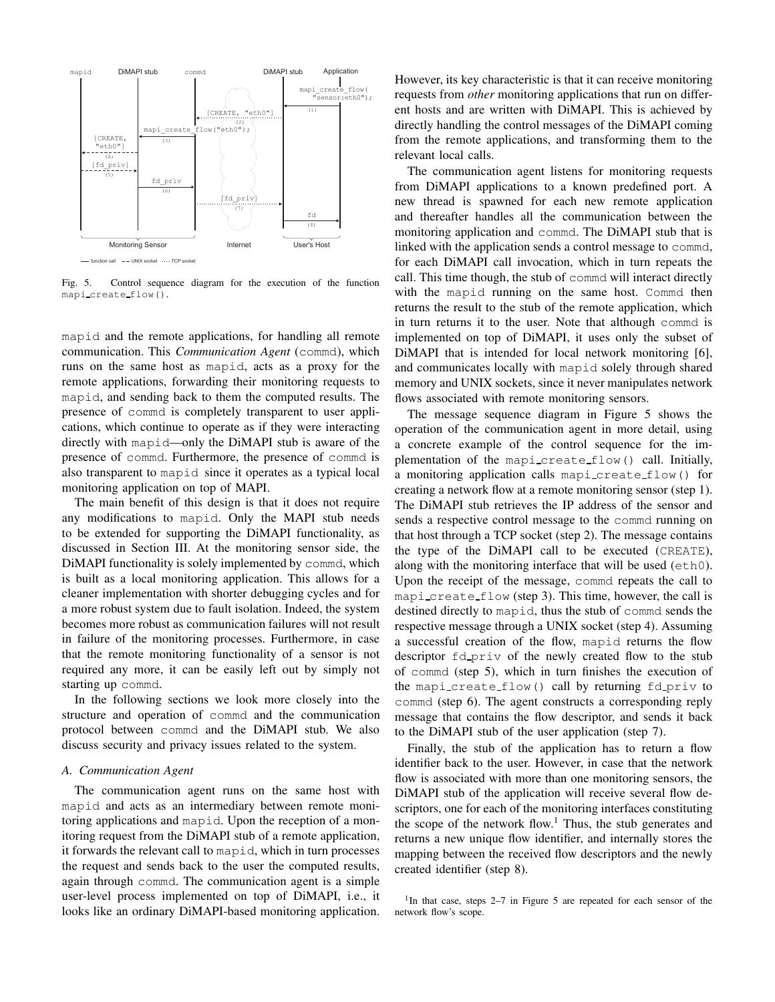

Fig. 5. Control sequence diagram for the execution of the function mapi create flow().

mapid and the remote applications, for handling all remote communication. This *Communication Agent* (commd), which runs on the same host as mapid, acts as a proxy for the remote applications, forwarding their monitoring requests to mapid, and sending back to them the computed results. The presence of commd is completely transparent to user applications, which continue to operate as if they were interacting directly with mapid—only the DiMAPI stub is aware of the presence of commd. Furthermore, the presence of commd is also transparent to mapid since it operates as a typical local monitoring application on top of MAPI.

The main benefit of this design is that it does not require any modifications to mapid. Only the MAPI stub needs to be extended for supporting the DiMAPI functionality, as discussed in Section III. At the monitoring sensor side, the DiMAPI functionality is solely implemented by commd, which is built as a local monitoring application. This allows for a cleaner implementation with shorter debugging cycles and for a more robust system due to fault isolation. Indeed, the system becomes more robust as communication failures will not result in failure of the monitoring processes. Furthermore, in case that the remote monitoring functionality of a sensor is not required any more, it can be easily left out by simply not starting up commd.

In the following sections we look more closely into the structure and operation of commd and the communication protocol between commd and the DiMAPI stub. We also discuss security and privacy issues related to the system.

#### *A. Communication Agent*

The communication agent runs on the same host with mapid and acts as an intermediary between remote monitoring applications and mapid. Upon the reception of a monitoring request from the DiMAPI stub of a remote application, it forwards the relevant call to mapid, which in turn processes the request and sends back to the user the computed results, again through commd. The communication agent is a simple user-level process implemented on top of DiMAPI, i.e., it looks like an ordinary DiMAPI-based monitoring application.

However, its key characteristic is that it can receive monitoring requests from *other* monitoring applications that run on different hosts and are written with DiMAPI. This is achieved by directly handling the control messages of the DiMAPI coming from the remote applications, and transforming them to the relevant local calls.

The communication agent listens for monitoring requests from DiMAPI applications to a known predefined port. A new thread is spawned for each new remote application and thereafter handles all the communication between the monitoring application and commd. The DiMAPI stub that is linked with the application sends a control message to commd, for each DiMAPI call invocation, which in turn repeats the call. This time though, the stub of commd will interact directly with the mapid running on the same host. Commd then returns the result to the stub of the remote application, which in turn returns it to the user. Note that although commd is implemented on top of DiMAPI, it uses only the subset of DiMAPI that is intended for local network monitoring [6], and communicates locally with mapid solely through shared memory and UNIX sockets, since it never manipulates network flows associated with remote monitoring sensors.

The message sequence diagram in Figure 5 shows the operation of the communication agent in more detail, using a concrete example of the control sequence for the implementation of the mapi create flow() call. Initially, a monitoring application calls mapi create flow() for creating a network flow at a remote monitoring sensor (step 1). The DiMAPI stub retrieves the IP address of the sensor and sends a respective control message to the commd running on that host through a TCP socket (step 2). The message contains the type of the DiMAPI call to be executed (CREATE), along with the monitoring interface that will be used (eth0). Upon the receipt of the message, commd repeats the call to mapi create flow (step 3). This time, however, the call is destined directly to mapid, thus the stub of commd sends the respective message through a UNIX socket (step 4). Assuming a successful creation of the flow, mapid returns the flow descriptor fd priv of the newly created flow to the stub of commd (step 5), which in turn finishes the execution of the mapi create flow() call by returning fd priv to commd (step 6). The agent constructs a corresponding reply message that contains the flow descriptor, and sends it back to the DiMAPI stub of the user application (step 7).

Finally, the stub of the application has to return a flow identifier back to the user. However, in case that the network flow is associated with more than one monitoring sensors, the DiMAPI stub of the application will receive several flow descriptors, one for each of the monitoring interfaces constituting the scope of the network flow.<sup>1</sup> Thus, the stub generates and returns a new unique flow identifier, and internally stores the mapping between the received flow descriptors and the newly created identifier (step 8).

<sup>1</sup>In that case, steps 2–7 in Figure 5 are repeated for each sensor of the network flow's scope.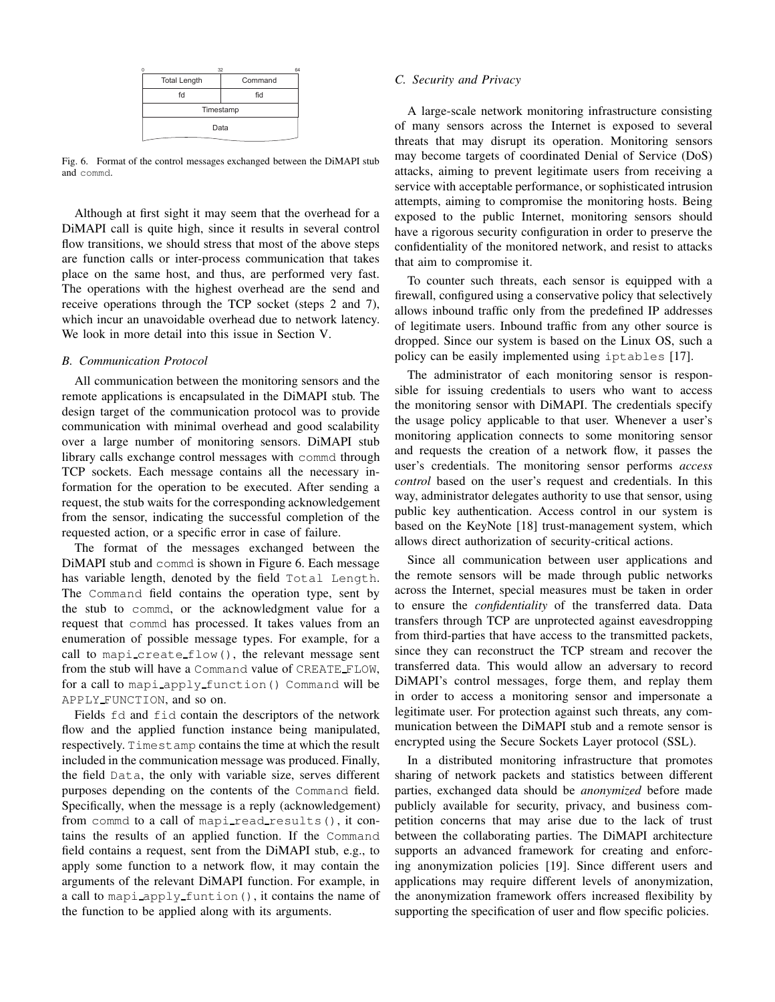| 32                  |         |  |
|---------------------|---------|--|
| <b>Total Length</b> | Command |  |
| fd                  | fid     |  |
| Timestamp           |         |  |
| Data                |         |  |

Fig. 6. Format of the control messages exchanged between the DiMAPI stub and commd.

Although at first sight it may seem that the overhead for a DiMAPI call is quite high, since it results in several control flow transitions, we should stress that most of the above steps are function calls or inter-process communication that takes place on the same host, and thus, are performed very fast. The operations with the highest overhead are the send and receive operations through the TCP socket (steps 2 and 7), which incur an unavoidable overhead due to network latency. We look in more detail into this issue in Section V.

## *B. Communication Protocol*

All communication between the monitoring sensors and the remote applications is encapsulated in the DiMAPI stub. The design target of the communication protocol was to provide communication with minimal overhead and good scalability over a large number of monitoring sensors. DiMAPI stub library calls exchange control messages with commd through TCP sockets. Each message contains all the necessary information for the operation to be executed. After sending a request, the stub waits for the corresponding acknowledgement from the sensor, indicating the successful completion of the requested action, or a specific error in case of failure.

The format of the messages exchanged between the DiMAPI stub and commd is shown in Figure 6. Each message has variable length, denoted by the field Total Length. The Command field contains the operation type, sent by the stub to commd, or the acknowledgment value for a request that commd has processed. It takes values from an enumeration of possible message types. For example, for a call to mapi create flow(), the relevant message sent from the stub will have a Command value of CREATE FLOW, for a call to mapi apply function() Command will be APPLY FUNCTION, and so on.

Fields fd and fid contain the descriptors of the network flow and the applied function instance being manipulated, respectively. Timestamp contains the time at which the result included in the communication message was produced. Finally, the field Data, the only with variable size, serves different purposes depending on the contents of the Command field. Specifically, when the message is a reply (acknowledgement) from commd to a call of mapi read results(), it contains the results of an applied function. If the Command field contains a request, sent from the DiMAPI stub, e.g., to apply some function to a network flow, it may contain the arguments of the relevant DiMAPI function. For example, in a call to mapi apply funtion(), it contains the name of the function to be applied along with its arguments.

#### *C. Security and Privacy*

A large-scale network monitoring infrastructure consisting of many sensors across the Internet is exposed to several threats that may disrupt its operation. Monitoring sensors may become targets of coordinated Denial of Service (DoS) attacks, aiming to prevent legitimate users from receiving a service with acceptable performance, or sophisticated intrusion attempts, aiming to compromise the monitoring hosts. Being exposed to the public Internet, monitoring sensors should have a rigorous security configuration in order to preserve the confidentiality of the monitored network, and resist to attacks that aim to compromise it.

To counter such threats, each sensor is equipped with a firewall, configured using a conservative policy that selectively allows inbound traffic only from the predefined IP addresses of legitimate users. Inbound traffic from any other source is dropped. Since our system is based on the Linux OS, such a policy can be easily implemented using iptables [17].

The administrator of each monitoring sensor is responsible for issuing credentials to users who want to access the monitoring sensor with DiMAPI. The credentials specify the usage policy applicable to that user. Whenever a user's monitoring application connects to some monitoring sensor and requests the creation of a network flow, it passes the user's credentials. The monitoring sensor performs *access control* based on the user's request and credentials. In this way, administrator delegates authority to use that sensor, using public key authentication. Access control in our system is based on the KeyNote [18] trust-management system, which allows direct authorization of security-critical actions.

Since all communication between user applications and the remote sensors will be made through public networks across the Internet, special measures must be taken in order to ensure the *confidentiality* of the transferred data. Data transfers through TCP are unprotected against eavesdropping from third-parties that have access to the transmitted packets, since they can reconstruct the TCP stream and recover the transferred data. This would allow an adversary to record DiMAPI's control messages, forge them, and replay them in order to access a monitoring sensor and impersonate a legitimate user. For protection against such threats, any communication between the DiMAPI stub and a remote sensor is encrypted using the Secure Sockets Layer protocol (SSL).

In a distributed monitoring infrastructure that promotes sharing of network packets and statistics between different parties, exchanged data should be *anonymized* before made publicly available for security, privacy, and business competition concerns that may arise due to the lack of trust between the collaborating parties. The DiMAPI architecture supports an advanced framework for creating and enforcing anonymization policies [19]. Since different users and applications may require different levels of anonymization, the anonymization framework offers increased flexibility by supporting the specification of user and flow specific policies.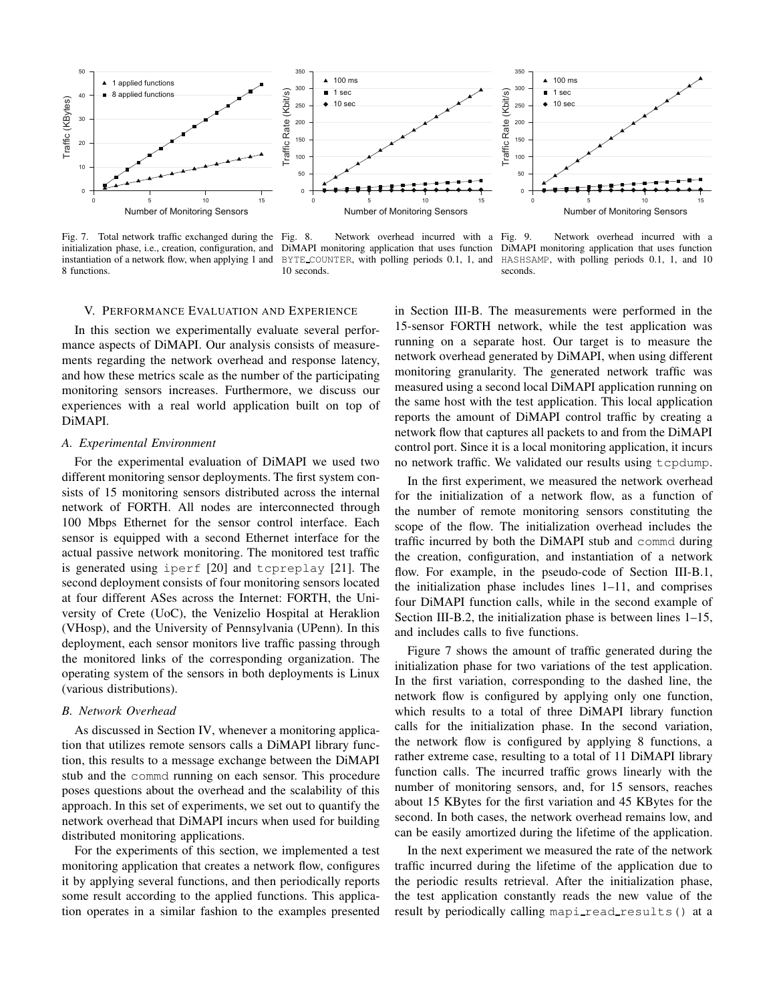

Fig. 7. Total network traffic exchanged during the Fig. 8. instantiation of a network flow, when applying 1 and 8 functions.

initialization phase, i.e., creation, configuration, and DiMAPI monitoring application that uses function DiMAPI monitoring application that uses function Network overhead incurred with a Fig. 9. BYTE COUNTER, with polling periods 0.1, 1, and 10 seconds.

Network overhead incurred with a HASHSAMP, with polling periods 0.1, 1, and 10 seconds.

#### V. PERFORMANCE EVALUATION AND EXPERIENCE

In this section we experimentally evaluate several performance aspects of DiMAPI. Our analysis consists of measurements regarding the network overhead and response latency, and how these metrics scale as the number of the participating monitoring sensors increases. Furthermore, we discuss our experiences with a real world application built on top of DiMAPI.

#### *A. Experimental Environment*

For the experimental evaluation of DiMAPI we used two different monitoring sensor deployments. The first system consists of 15 monitoring sensors distributed across the internal network of FORTH. All nodes are interconnected through 100 Mbps Ethernet for the sensor control interface. Each sensor is equipped with a second Ethernet interface for the actual passive network monitoring. The monitored test traffic is generated using iperf [20] and tcpreplay [21]. The second deployment consists of four monitoring sensors located at four different ASes across the Internet: FORTH, the University of Crete (UoC), the Venizelio Hospital at Heraklion (VHosp), and the University of Pennsylvania (UPenn). In this deployment, each sensor monitors live traffic passing through the monitored links of the corresponding organization. The operating system of the sensors in both deployments is Linux (various distributions).

## *B. Network Overhead*

As discussed in Section IV, whenever a monitoring application that utilizes remote sensors calls a DiMAPI library function, this results to a message exchange between the DiMAPI stub and the commd running on each sensor. This procedure poses questions about the overhead and the scalability of this approach. In this set of experiments, we set out to quantify the network overhead that DiMAPI incurs when used for building distributed monitoring applications.

For the experiments of this section, we implemented a test monitoring application that creates a network flow, configures it by applying several functions, and then periodically reports some result according to the applied functions. This application operates in a similar fashion to the examples presented

in Section III-B. The measurements were performed in the 15-sensor FORTH network, while the test application was running on a separate host. Our target is to measure the network overhead generated by DiMAPI, when using different monitoring granularity. The generated network traffic was measured using a second local DiMAPI application running on the same host with the test application. This local application reports the amount of DiMAPI control traffic by creating a network flow that captures all packets to and from the DiMAPI control port. Since it is a local monitoring application, it incurs no network traffic. We validated our results using tcpdump.

In the first experiment, we measured the network overhead for the initialization of a network flow, as a function of the number of remote monitoring sensors constituting the scope of the flow. The initialization overhead includes the traffic incurred by both the DiMAPI stub and commd during the creation, configuration, and instantiation of a network flow. For example, in the pseudo-code of Section III-B.1, the initialization phase includes lines 1–11, and comprises four DiMAPI function calls, while in the second example of Section III-B.2, the initialization phase is between lines 1–15, and includes calls to five functions.

Figure 7 shows the amount of traffic generated during the initialization phase for two variations of the test application. In the first variation, corresponding to the dashed line, the network flow is configured by applying only one function, which results to a total of three DiMAPI library function calls for the initialization phase. In the second variation, the network flow is configured by applying 8 functions, a rather extreme case, resulting to a total of 11 DiMAPI library function calls. The incurred traffic grows linearly with the number of monitoring sensors, and, for 15 sensors, reaches about 15 KBytes for the first variation and 45 KBytes for the second. In both cases, the network overhead remains low, and can be easily amortized during the lifetime of the application.

In the next experiment we measured the rate of the network traffic incurred during the lifetime of the application due to the periodic results retrieval. After the initialization phase, the test application constantly reads the new value of the result by periodically calling mapi read results () at a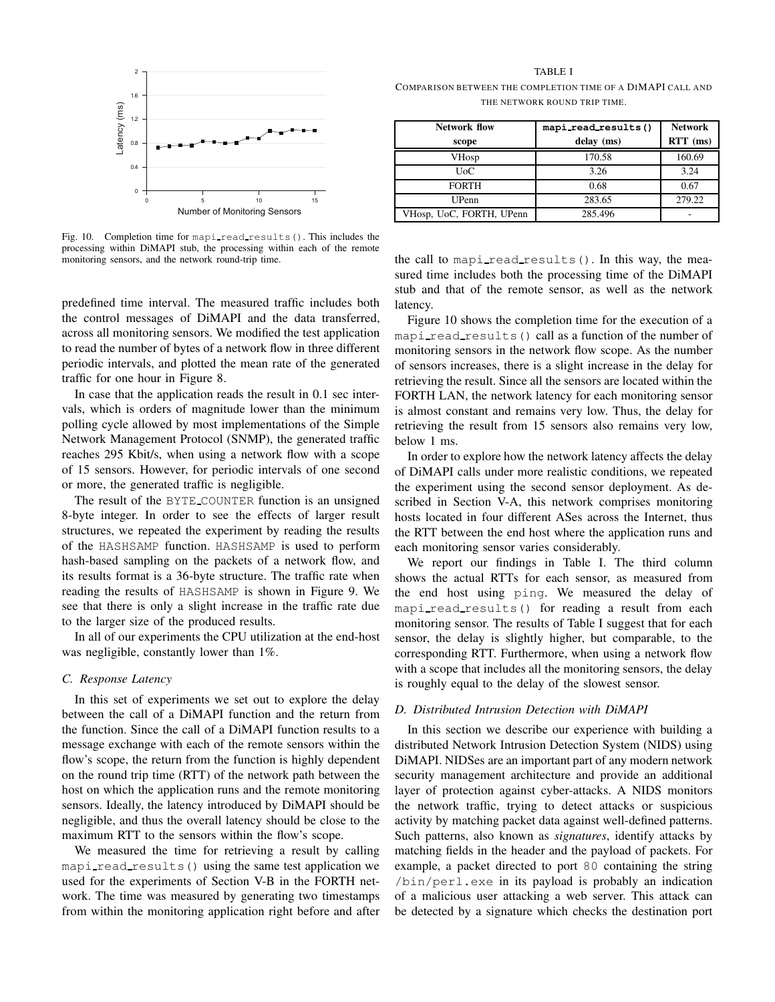

Fig. 10. Completion time for mapi read results(). This includes the processing within DiMAPI stub, the processing within each of the remote monitoring sensors, and the network round-trip time.

predefined time interval. The measured traffic includes both the control messages of DiMAPI and the data transferred, across all monitoring sensors. We modified the test application to read the number of bytes of a network flow in three different periodic intervals, and plotted the mean rate of the generated traffic for one hour in Figure 8.

In case that the application reads the result in 0.1 sec intervals, which is orders of magnitude lower than the minimum polling cycle allowed by most implementations of the Simple Network Management Protocol (SNMP), the generated traffic reaches 295 Kbit/s, when using a network flow with a scope of 15 sensors. However, for periodic intervals of one second or more, the generated traffic is negligible.

The result of the BYTE COUNTER function is an unsigned 8-byte integer. In order to see the effects of larger result structures, we repeated the experiment by reading the results of the HASHSAMP function. HASHSAMP is used to perform hash-based sampling on the packets of a network flow, and its results format is a 36-byte structure. The traffic rate when reading the results of HASHSAMP is shown in Figure 9. We see that there is only a slight increase in the traffic rate due to the larger size of the produced results.

In all of our experiments the CPU utilization at the end-host was negligible, constantly lower than 1%.

#### *C. Response Latency*

In this set of experiments we set out to explore the delay between the call of a DiMAPI function and the return from the function. Since the call of a DiMAPI function results to a message exchange with each of the remote sensors within the flow's scope, the return from the function is highly dependent on the round trip time (RTT) of the network path between the host on which the application runs and the remote monitoring sensors. Ideally, the latency introduced by DiMAPI should be negligible, and thus the overall latency should be close to the maximum RTT to the sensors within the flow's scope.

We measured the time for retrieving a result by calling mapi read results() using the same test application we used for the experiments of Section V-B in the FORTH network. The time was measured by generating two timestamps from within the monitoring application right before and after

TABLE I COMPARISON BETWEEN THE COMPLETION TIME OF A DIMAPI CALL AND THE NETWORK ROUND TRIP TIME.

| Network flow<br>scope    | mapi read results()<br>delay (ms) | <b>Network</b><br>$RTT$ (ms) |
|--------------------------|-----------------------------------|------------------------------|
| VHosp                    | 170.58                            | 160.69                       |
| $U_0C$                   | 3.26                              | 3.24                         |
| <b>FORTH</b>             | 0.68                              | 0.67                         |
| UPenn                    | 283.65                            | 279.22                       |
| VHosp, UoC, FORTH, UPenn | 285.496                           |                              |

the call to mapi read results(). In this way, the measured time includes both the processing time of the DiMAPI stub and that of the remote sensor, as well as the network latency.

Figure 10 shows the completion time for the execution of a mapi read results() call as a function of the number of monitoring sensors in the network flow scope. As the number of sensors increases, there is a slight increase in the delay for retrieving the result. Since all the sensors are located within the FORTH LAN, the network latency for each monitoring sensor is almost constant and remains very low. Thus, the delay for retrieving the result from 15 sensors also remains very low, below 1 ms.

In order to explore how the network latency affects the delay of DiMAPI calls under more realistic conditions, we repeated the experiment using the second sensor deployment. As described in Section V-A, this network comprises monitoring hosts located in four different ASes across the Internet, thus the RTT between the end host where the application runs and each monitoring sensor varies considerably.

We report our findings in Table I. The third column shows the actual RTTs for each sensor, as measured from the end host using ping. We measured the delay of mapi read results() for reading a result from each monitoring sensor. The results of Table I suggest that for each sensor, the delay is slightly higher, but comparable, to the corresponding RTT. Furthermore, when using a network flow with a scope that includes all the monitoring sensors, the delay is roughly equal to the delay of the slowest sensor.

## *D. Distributed Intrusion Detection with DiMAPI*

In this section we describe our experience with building a distributed Network Intrusion Detection System (NIDS) using DiMAPI. NIDSes are an important part of any modern network security management architecture and provide an additional layer of protection against cyber-attacks. A NIDS monitors the network traffic, trying to detect attacks or suspicious activity by matching packet data against well-defined patterns. Such patterns, also known as *signatures*, identify attacks by matching fields in the header and the payload of packets. For example, a packet directed to port 80 containing the string /bin/perl.exe in its payload is probably an indication of a malicious user attacking a web server. This attack can be detected by a signature which checks the destination port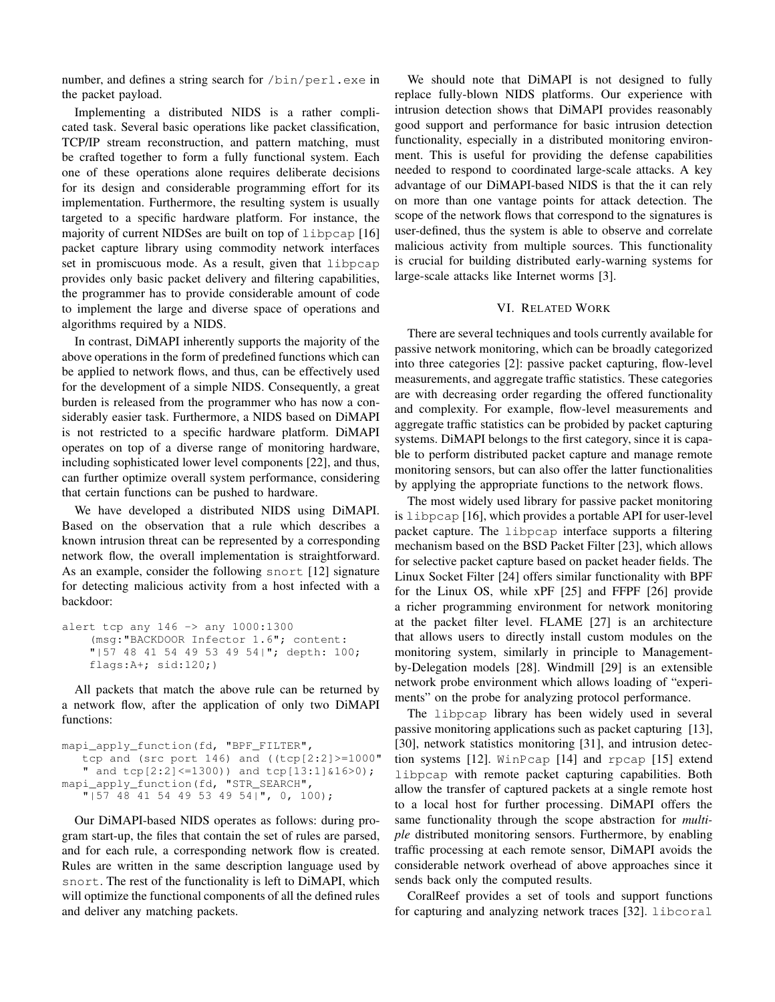number, and defines a string search for /bin/perl.exe in the packet payload.

Implementing a distributed NIDS is a rather complicated task. Several basic operations like packet classification, TCP/IP stream reconstruction, and pattern matching, must be crafted together to form a fully functional system. Each one of these operations alone requires deliberate decisions for its design and considerable programming effort for its implementation. Furthermore, the resulting system is usually targeted to a specific hardware platform. For instance, the majority of current NIDSes are built on top of libpcap [16] packet capture library using commodity network interfaces set in promiscuous mode. As a result, given that libpcap provides only basic packet delivery and filtering capabilities, the programmer has to provide considerable amount of code to implement the large and diverse space of operations and algorithms required by a NIDS.

In contrast, DiMAPI inherently supports the majority of the above operations in the form of predefined functions which can be applied to network flows, and thus, can be effectively used for the development of a simple NIDS. Consequently, a great burden is released from the programmer who has now a considerably easier task. Furthermore, a NIDS based on DiMAPI is not restricted to a specific hardware platform. DiMAPI operates on top of a diverse range of monitoring hardware, including sophisticated lower level components [22], and thus, can further optimize overall system performance, considering that certain functions can be pushed to hardware.

We have developed a distributed NIDS using DiMAPI. Based on the observation that a rule which describes a known intrusion threat can be represented by a corresponding network flow, the overall implementation is straightforward. As an example, consider the following snort [12] signature for detecting malicious activity from a host infected with a backdoor:

```
alert tcp any 146 -> any 1000:1300
    (msg:"BACKDOOR Infector 1.6"; content:
    "|57 48 41 54 49 53 49 54|"; depth: 100;
    flags:A+; sid:120;)
```
All packets that match the above rule can be returned by a network flow, after the application of only two DiMAPI functions:

```
mapi_apply_function(fd, "BPF_FILTER",
   tcp and (src port 146) and ((tcp[2:2] >=1000"
   " and tcp[2:2] <= 1300)) and tcp[13:1] & 16>0);
mapi_apply_function(fd, "STR_SEARCH",
   "|57 48 41 54 49 53 49 54|", 0, 100);
```
Our DiMAPI-based NIDS operates as follows: during program start-up, the files that contain the set of rules are parsed, and for each rule, a corresponding network flow is created. Rules are written in the same description language used by snort. The rest of the functionality is left to DiMAPI, which will optimize the functional components of all the defined rules and deliver any matching packets.

We should note that DiMAPI is not designed to fully replace fully-blown NIDS platforms. Our experience with intrusion detection shows that DiMAPI provides reasonably good support and performance for basic intrusion detection functionality, especially in a distributed monitoring environment. This is useful for providing the defense capabilities needed to respond to coordinated large-scale attacks. A key advantage of our DiMAPI-based NIDS is that the it can rely on more than one vantage points for attack detection. The scope of the network flows that correspond to the signatures is user-defined, thus the system is able to observe and correlate malicious activity from multiple sources. This functionality is crucial for building distributed early-warning systems for large-scale attacks like Internet worms [3].

# VI. RELATED WORK

There are several techniques and tools currently available for passive network monitoring, which can be broadly categorized into three categories [2]: passive packet capturing, flow-level measurements, and aggregate traffic statistics. These categories are with decreasing order regarding the offered functionality and complexity. For example, flow-level measurements and aggregate traffic statistics can be probided by packet capturing systems. DiMAPI belongs to the first category, since it is capable to perform distributed packet capture and manage remote monitoring sensors, but can also offer the latter functionalities by applying the appropriate functions to the network flows.

The most widely used library for passive packet monitoring is libpcap [16], which provides a portable API for user-level packet capture. The libpcap interface supports a filtering mechanism based on the BSD Packet Filter [23], which allows for selective packet capture based on packet header fields. The Linux Socket Filter [24] offers similar functionality with BPF for the Linux OS, while xPF [25] and FFPF [26] provide a richer programming environment for network monitoring at the packet filter level. FLAME [27] is an architecture that allows users to directly install custom modules on the monitoring system, similarly in principle to Managementby-Delegation models [28]. Windmill [29] is an extensible network probe environment which allows loading of "experiments" on the probe for analyzing protocol performance.

The libpcap library has been widely used in several passive monitoring applications such as packet capturing [13], [30], network statistics monitoring [31], and intrusion detection systems [12]. WinPcap [14] and rpcap [15] extend libpcap with remote packet capturing capabilities. Both allow the transfer of captured packets at a single remote host to a local host for further processing. DiMAPI offers the same functionality through the scope abstraction for *multiple* distributed monitoring sensors. Furthermore, by enabling traffic processing at each remote sensor, DiMAPI avoids the considerable network overhead of above approaches since it sends back only the computed results.

CoralReef provides a set of tools and support functions for capturing and analyzing network traces [32]. libcoral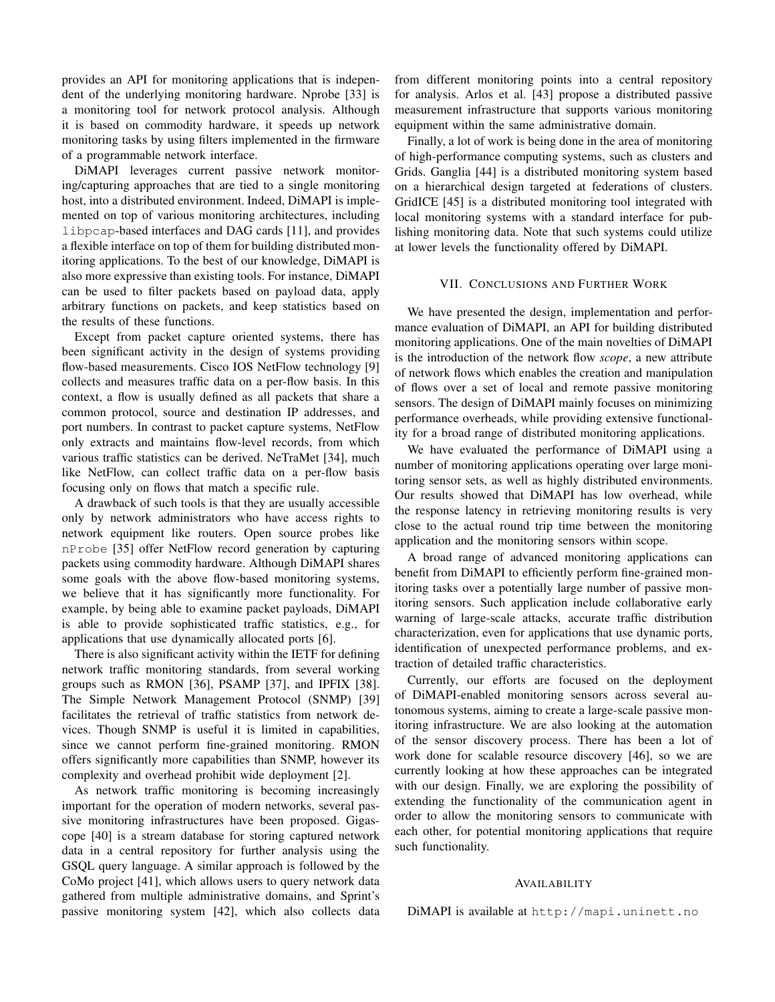provides an API for monitoring applications that is independent of the underlying monitoring hardware. Nprobe [33] is a monitoring tool for network protocol analysis. Although it is based on commodity hardware, it speeds up network monitoring tasks by using filters implemented in the firmware of a programmable network interface.

DiMAPI leverages current passive network monitoring/capturing approaches that are tied to a single monitoring host, into a distributed environment. Indeed, DiMAPI is implemented on top of various monitoring architectures, including libpcap-based interfaces and DAG cards [11], and provides a flexible interface on top of them for building distributed monitoring applications. To the best of our knowledge, DiMAPI is also more expressive than existing tools. For instance, DiMAPI can be used to filter packets based on payload data, apply arbitrary functions on packets, and keep statistics based on the results of these functions.

Except from packet capture oriented systems, there has been significant activity in the design of systems providing flow-based measurements. Cisco IOS NetFlow technology [9] collects and measures traffic data on a per-flow basis. In this context, a flow is usually defined as all packets that share a common protocol, source and destination IP addresses, and port numbers. In contrast to packet capture systems, NetFlow only extracts and maintains flow-level records, from which various traffic statistics can be derived. NeTraMet [34], much like NetFlow, can collect traffic data on a per-flow basis focusing only on flows that match a specific rule.

A drawback of such tools is that they are usually accessible only by network administrators who have access rights to network equipment like routers. Open source probes like nProbe [35] offer NetFlow record generation by capturing packets using commodity hardware. Although DiMAPI shares some goals with the above flow-based monitoring systems, we believe that it has significantly more functionality. For example, by being able to examine packet payloads, DiMAPI is able to provide sophisticated traffic statistics, e.g., for applications that use dynamically allocated ports [6].

There is also significant activity within the IETF for defining network traffic monitoring standards, from several working groups such as RMON [36], PSAMP [37], and IPFIX [38]. The Simple Network Management Protocol (SNMP) [39] facilitates the retrieval of traffic statistics from network devices. Though SNMP is useful it is limited in capabilities, since we cannot perform fine-grained monitoring. RMON offers significantly more capabilities than SNMP, however its complexity and overhead prohibit wide deployment [2].

As network traffic monitoring is becoming increasingly important for the operation of modern networks, several passive monitoring infrastructures have been proposed. Gigascope [40] is a stream database for storing captured network data in a central repository for further analysis using the GSQL query language. A similar approach is followed by the CoMo project [41], which allows users to query network data gathered from multiple administrative domains, and Sprint's passive monitoring system [42], which also collects data

from different monitoring points into a central repository for analysis. Arlos et al. [43] propose a distributed passive measurement infrastructure that supports various monitoring equipment within the same administrative domain.

Finally, a lot of work is being done in the area of monitoring of high-performance computing systems, such as clusters and Grids. Ganglia [44] is a distributed monitoring system based on a hierarchical design targeted at federations of clusters. GridICE [45] is a distributed monitoring tool integrated with local monitoring systems with a standard interface for publishing monitoring data. Note that such systems could utilize at lower levels the functionality offered by DiMAPI.

## VII. CONCLUSIONS AND FURTHER WORK

We have presented the design, implementation and performance evaluation of DiMAPI, an API for building distributed monitoring applications. One of the main novelties of DiMAPI is the introduction of the network flow *scope*, a new attribute of network flows which enables the creation and manipulation of flows over a set of local and remote passive monitoring sensors. The design of DiMAPI mainly focuses on minimizing performance overheads, while providing extensive functionality for a broad range of distributed monitoring applications.

We have evaluated the performance of DiMAPI using a number of monitoring applications operating over large monitoring sensor sets, as well as highly distributed environments. Our results showed that DiMAPI has low overhead, while the response latency in retrieving monitoring results is very close to the actual round trip time between the monitoring application and the monitoring sensors within scope.

A broad range of advanced monitoring applications can benefit from DiMAPI to efficiently perform fine-grained monitoring tasks over a potentially large number of passive monitoring sensors. Such application include collaborative early warning of large-scale attacks, accurate traffic distribution characterization, even for applications that use dynamic ports, identification of unexpected performance problems, and extraction of detailed traffic characteristics.

Currently, our efforts are focused on the deployment of DiMAPI-enabled monitoring sensors across several autonomous systems, aiming to create a large-scale passive monitoring infrastructure. We are also looking at the automation of the sensor discovery process. There has been a lot of work done for scalable resource discovery [46], so we are currently looking at how these approaches can be integrated with our design. Finally, we are exploring the possibility of extending the functionality of the communication agent in order to allow the monitoring sensors to communicate with each other, for potential monitoring applications that require such functionality.

#### AVAILABILITY

DiMAPI is available at http://mapi.uninett.no